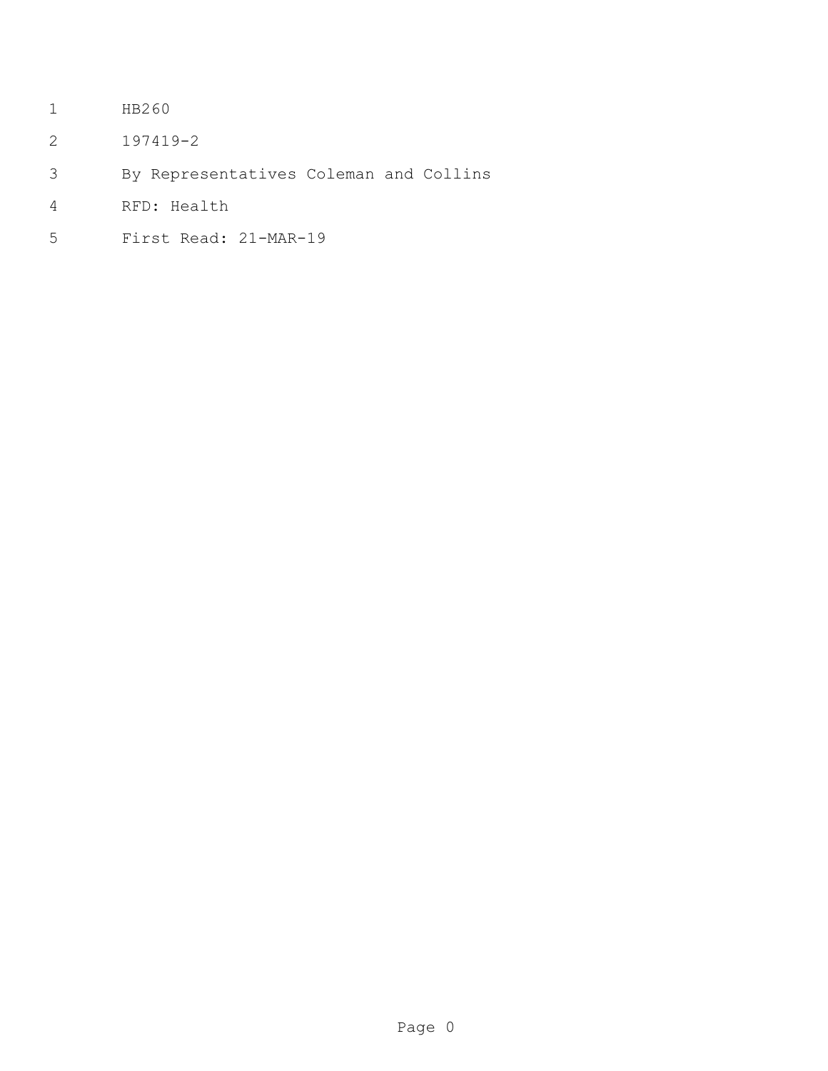- HB260
- 197419-2
- By Representatives Coleman and Collins
- RFD: Health
- First Read: 21-MAR-19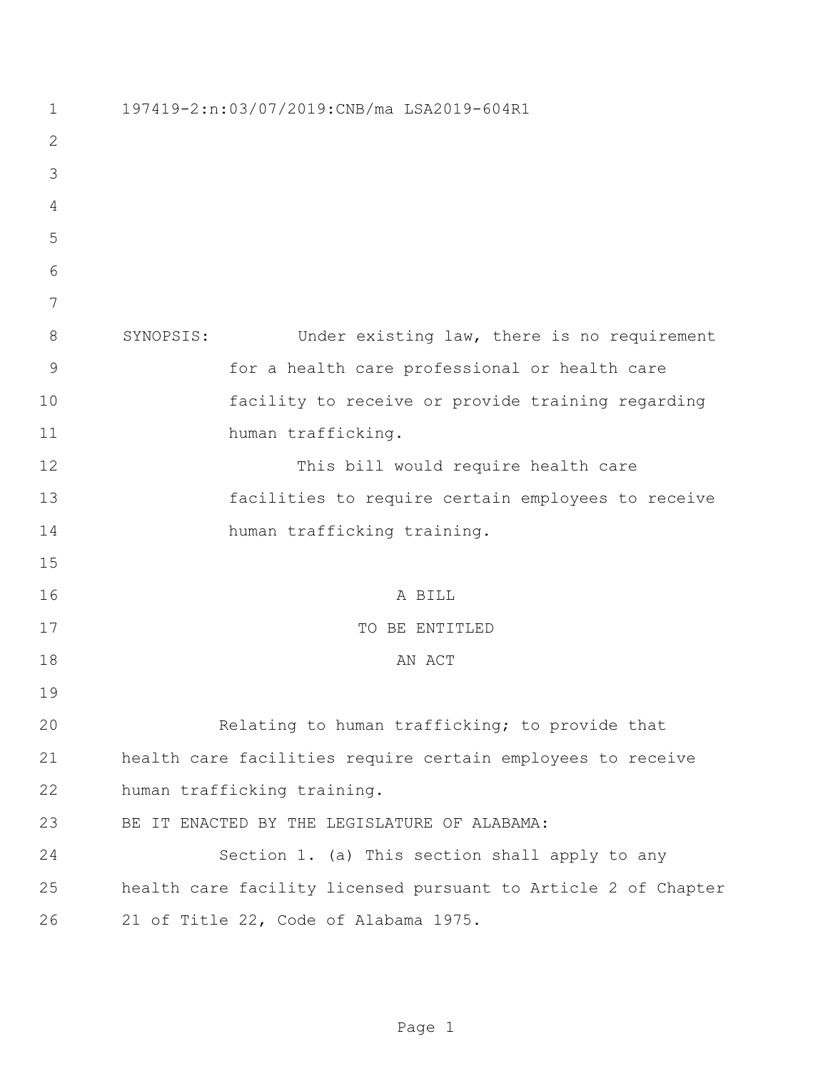| $\mathbf 1$    | 197419-2:n:03/07/2019:CNB/ma LSA2019-604R1                     |
|----------------|----------------------------------------------------------------|
| $\overline{2}$ |                                                                |
| 3              |                                                                |
| 4              |                                                                |
| 5              |                                                                |
| 6              |                                                                |
| 7              |                                                                |
| 8              | Under existing law, there is no requirement<br>SYNOPSIS:       |
| $\mathsf 9$    | for a health care professional or health care                  |
| 10             | facility to receive or provide training regarding              |
| 11             | human trafficking.                                             |
| 12             | This bill would require health care                            |
| 13             | facilities to require certain employees to receive             |
| 14             | human trafficking training.                                    |
| 15             |                                                                |
| 16             | A BILL                                                         |
| 17             | TO BE ENTITLED                                                 |
| 18             | AN ACT                                                         |
| 19             |                                                                |
| 20             | Relating to human trafficking; to provide that                 |
| 21             | health care facilities require certain employees to receive    |
| 22             | human trafficking training.                                    |
| 23             | BE IT ENACTED BY THE LEGISLATURE OF ALABAMA:                   |
| 24             | Section 1. (a) This section shall apply to any                 |
| 25             | health care facility licensed pursuant to Article 2 of Chapter |
| 26             | 21 of Title 22, Code of Alabama 1975.                          |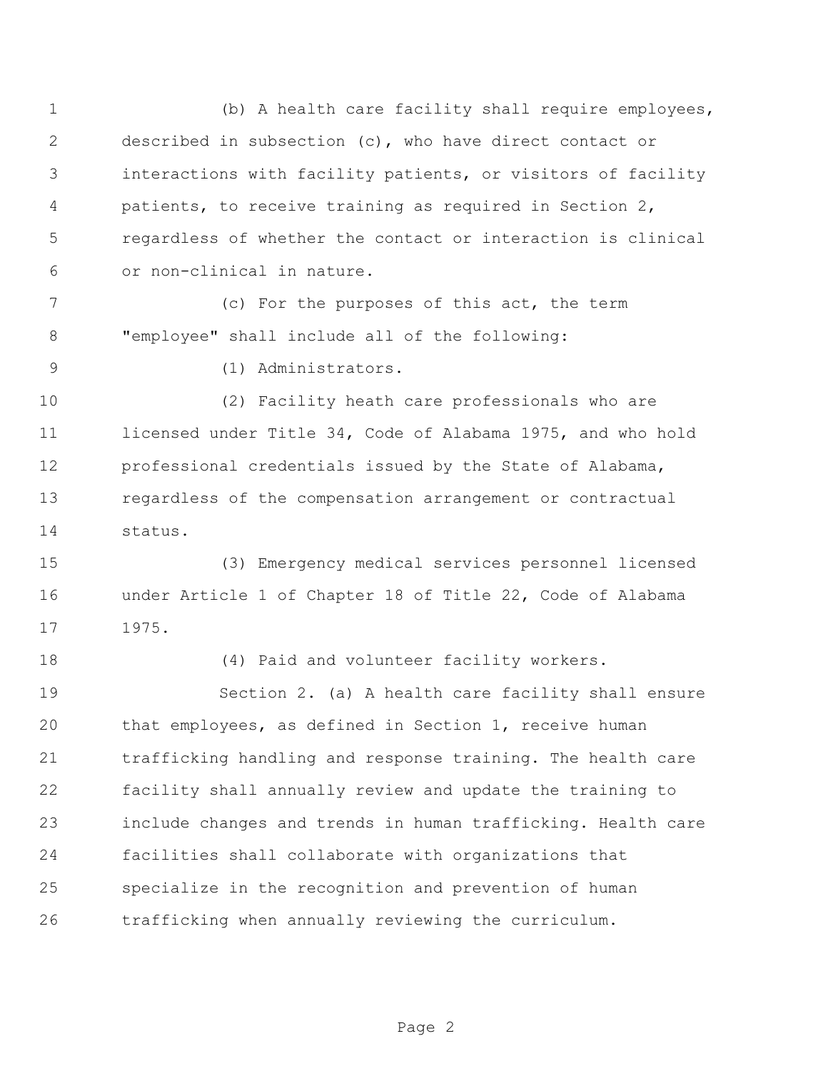(b) A health care facility shall require employees, described in subsection (c), who have direct contact or interactions with facility patients, or visitors of facility patients, to receive training as required in Section 2, regardless of whether the contact or interaction is clinical or non-clinical in nature.

 (c) For the purposes of this act, the term "employee" shall include all of the following:

(1) Administrators.

 (2) Facility heath care professionals who are licensed under Title 34, Code of Alabama 1975, and who hold professional credentials issued by the State of Alabama, regardless of the compensation arrangement or contractual status.

 (3) Emergency medical services personnel licensed under Article 1 of Chapter 18 of Title 22, Code of Alabama 1975.

(4) Paid and volunteer facility workers.

 Section 2. (a) A health care facility shall ensure that employees, as defined in Section 1, receive human trafficking handling and response training. The health care facility shall annually review and update the training to include changes and trends in human trafficking. Health care facilities shall collaborate with organizations that specialize in the recognition and prevention of human trafficking when annually reviewing the curriculum.

Page 2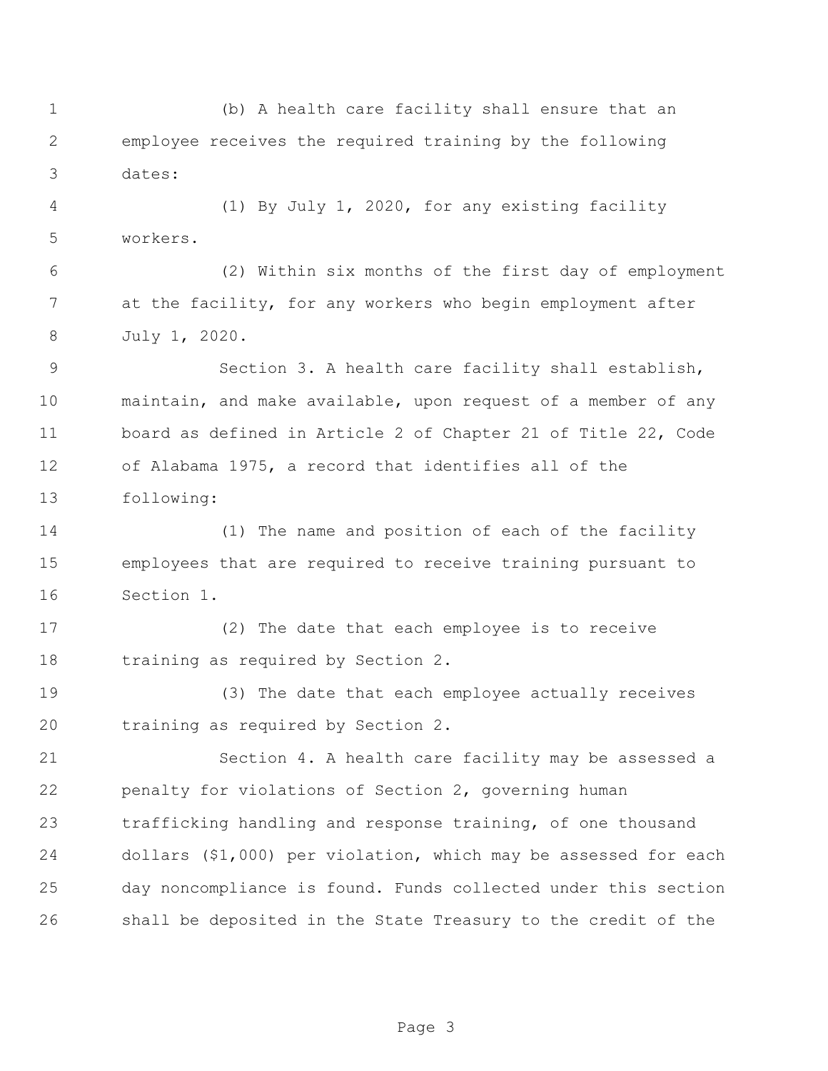(b) A health care facility shall ensure that an employee receives the required training by the following dates: (1) By July 1, 2020, for any existing facility workers. (2) Within six months of the first day of employment at the facility, for any workers who begin employment after July 1, 2020. Section 3. A health care facility shall establish, maintain, and make available, upon request of a member of any board as defined in Article 2 of Chapter 21 of Title 22, Code of Alabama 1975, a record that identifies all of the following: (1) The name and position of each of the facility employees that are required to receive training pursuant to Section 1. (2) The date that each employee is to receive training as required by Section 2. (3) The date that each employee actually receives training as required by Section 2. Section 4. A health care facility may be assessed a penalty for violations of Section 2, governing human trafficking handling and response training, of one thousand dollars (\$1,000) per violation, which may be assessed for each day noncompliance is found. Funds collected under this section shall be deposited in the State Treasury to the credit of the